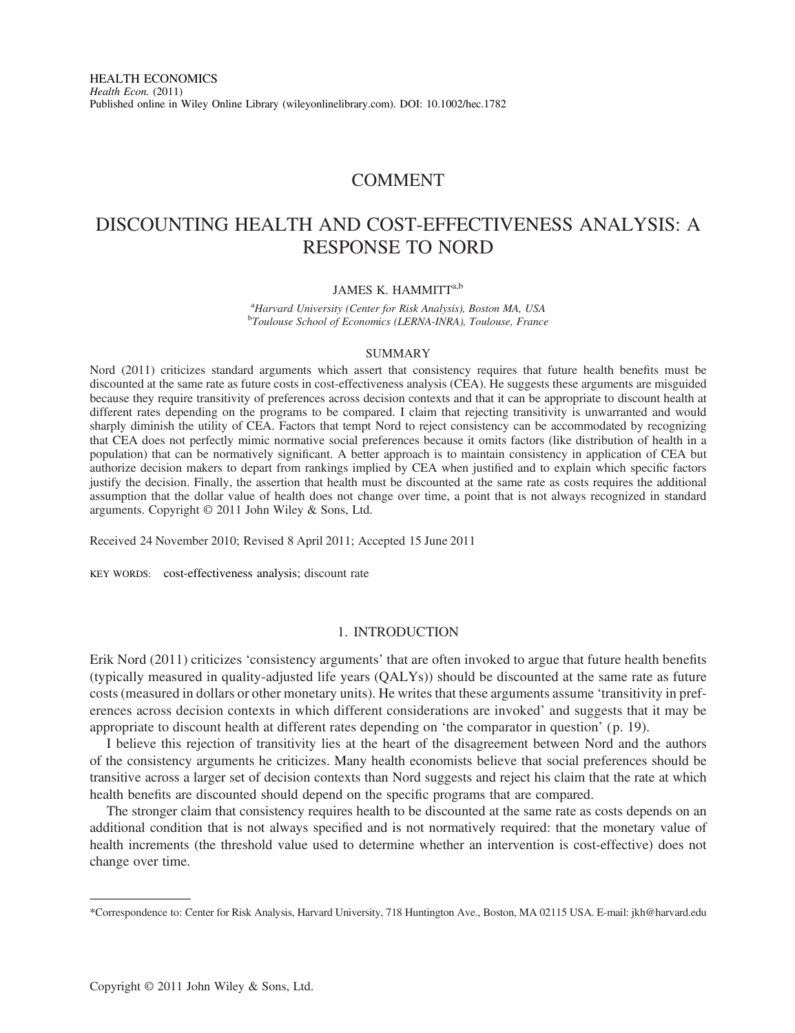## COMMENT

# DISCOUNTING HEALTH AND COST-EFFECTIVENESS ANALYSIS: A RESPONSE TO NORD

## JAMES K. HAMMITT<sup>a,b</sup>

<sup>a</sup>Harvard University (Center for Risk Analysis), Boston MA, USA <sup>b</sup>Toulouse School of Economics (LERNA-INRA), Toulouse, France

### SUMMARY

Nord (2011) criticizes standard arguments which assert that consistency requires that future health benefits must be discounted at the same rate as future costs in cost-effectiveness analysis (CEA). He suggests these arguments are misguided because they require transitivity of preferences across decision contexts and that it can be appropriate to discount health at different rates depending on the programs to be compared. I claim that rejecting transitivity is unwarranted and would sharply diminish the utility of CEA. Factors that tempt Nord to reject consistency can be accommodated by recognizing that CEA does not perfectly mimic normative social preferences because it omits factors (like distribution of health in a population) that can be normatively significant. A better approach is to maintain consistency in application of CEA but authorize decision makers to depart from rankings implied by CEA when justified and to explain which specific factors justify the decision. Finally, the assertion that health must be discounted at the same rate as costs requires the additional assumption that the dollar value of health does not change over time, a point that is not always recognized in standard arguments. Copyright © 2011 John Wiley & Sons, Ltd.

Received 24 November 2010; Revised 8 April 2011; Accepted 15 June 2011

KEY WORDS: cost-effectiveness analysis; discount rate

## 1. INTRODUCTION

Erik Nord (2011) criticizes 'consistency arguments' that are often invoked to argue that future health benefits (typically measured in quality-adjusted life years (QALYs)) should be discounted at the same rate as future costs (measured in dollars or other monetary units). He writes that these arguments assume 'transitivity in preferences across decision contexts in which different considerations are invoked' and suggests that it may be appropriate to discount health at different rates depending on 'the comparator in question' (p. 19).

I believe this rejection of transitivity lies at the heart of the disagreement between Nord and the authors of the consistency arguments he criticizes. Many health economists believe that social preferences should be transitive across a larger set of decision contexts than Nord suggests and reject his claim that the rate at which health benefits are discounted should depend on the specific programs that are compared.

The stronger claim that consistency requires health to be discounted at the same rate as costs depends on an additional condition that is not always specified and is not normatively required: that the monetary value of health increments (the threshold value used to determine whether an intervention is cost-effective) does not change over time.

<sup>\*</sup>Correspondence to: Center for Risk Analysis, Harvard University, 718 Huntington Ave., Boston, MA 02115 USA. E-mail: jkh@harvard.edu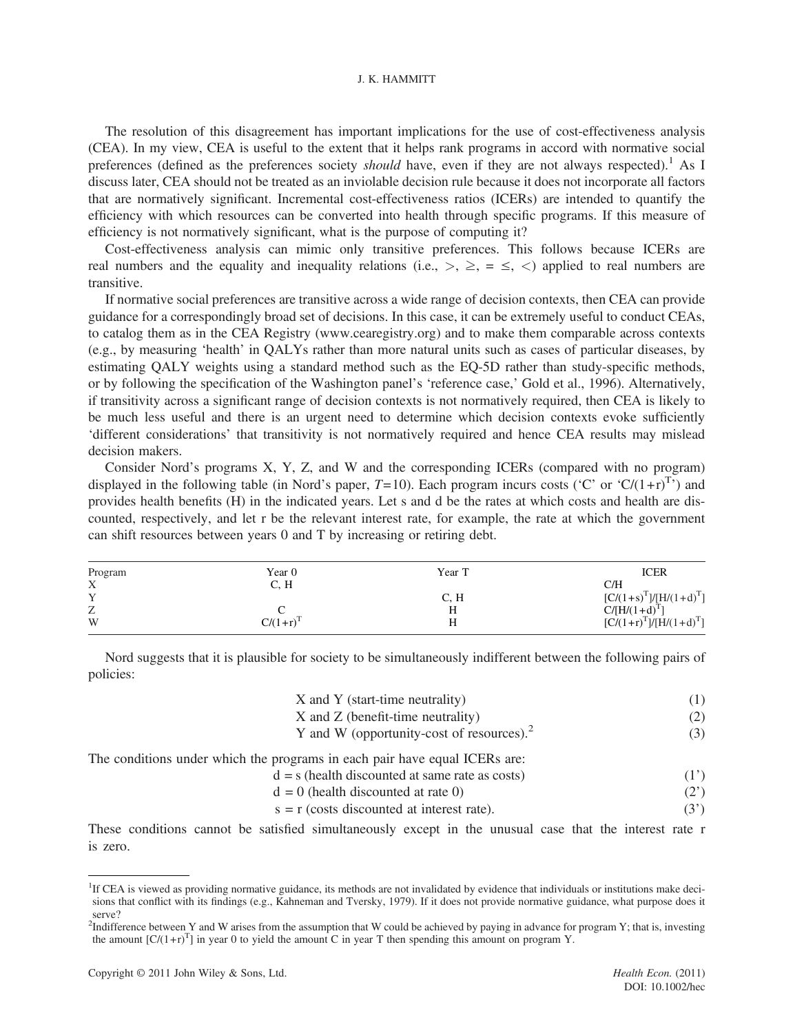#### J. K. HAMMITT

The resolution of this disagreement has important implications for the use of cost-effectiveness analysis (CEA). In my view, CEA is useful to the extent that it helps rank programs in accord with normative social preferences (defined as the preferences society *should* have, even if they are not always respected).<sup>1</sup> As I discuss later, CEA should not be treated as an inviolable decision rule because it does not incorporate all factors that are normatively significant. Incremental cost-effectiveness ratios (ICERs) are intended to quantify the efficiency with which resources can be converted into health through specific programs. If this measure of efficiency is not normatively significant, what is the purpose of computing it?

Cost-effectiveness analysis can mimic only transitive preferences. This follows because ICERs are real numbers and the equality and inequality relations (i.e.,  $>$ ,  $\geq$ ,  $=$   $\leq$ ,  $\lt$ ) applied to real numbers are transitive.

If normative social preferences are transitive across a wide range of decision contexts, then CEA can provide guidance for a correspondingly broad set of decisions. In this case, it can be extremely useful to conduct CEAs, to catalog them as in the CEA Registry (www.cearegistry.org) and to make them comparable across contexts (e.g., by measuring 'health' in QALYs rather than more natural units such as cases of particular diseases, by estimating QALY weights using a standard method such as the EQ-5D rather than study-specific methods, or by following the specification of the Washington panel's 'reference case,' Gold et al., 1996). Alternatively, if transitivity across a significant range of decision contexts is not normatively required, then CEA is likely to be much less useful and there is an urgent need to determine which decision contexts evoke sufficiently 'different considerations' that transitivity is not normatively required and hence CEA results may mislead decision makers.

Consider Nord's programs X, Y, Z, and W and the corresponding ICERs (compared with no program) displayed in the following table (in Nord's paper,  $T=10$ ). Each program incurs costs ('C' or 'C/(1+r)<sup>T</sup>') and provides health benefits (H) in the indicated years. Let s and d be the rates at which costs and health are discounted, respectively, and let r be the relevant interest rate, for example, the rate at which the government can shift resources between years 0 and T by increasing or retiring debt.

| Program | Year 0      | Year T | <b>ICER</b>                                            |
|---------|-------------|--------|--------------------------------------------------------|
| X       | C, H        |        | C/H                                                    |
| Y       |             | С. Н   | $[C/(1+s)^T]/[H/(1+d)^T]$<br>C/[H/(1+d) <sup>T</sup> ] |
| Ζ       |             | H      |                                                        |
| W       | $C/(1+r)^T$ | Н      | $[C/(1+r)^T]/[H/(1+d)^T]$                              |

Nord suggests that it is plausible for society to be simultaneously indifferent between the following pairs of policies:

|  | X and Y (start-time neutrality) |  |
|--|---------------------------------|--|
|--|---------------------------------|--|

- $X$  and  $Z$  (benefit-time neutrality) (2)
- Y and W (opportunity-cost of resources).<sup>2</sup> (3)

The conditions under which the programs in each pair have equal ICERs are:

- $d = s$  (health discounted at same rate as costs)  $(1')$
- $d = 0$  (health discounted at rate 0) (2)
- $s = r$  (costs discounted at interest rate). (3)

These conditions cannot be satisfied simultaneously except in the unusual case that the interest rate r is zero.

<sup>&</sup>lt;sup>1</sup>If CEA is viewed as providing normative guidance, its methods are not invalidated by evidence that individuals or institutions make decisions that conflict with its findings (e.g., Kahneman and Tversky, 1979). If it does not provide normative guidance, what purpose does it serve?

<sup>&</sup>lt;sup>2</sup>Indifference between Y and W arises from the assumption that W could be achieved by paying in advance for program Y; that is, investing the amount  $[C/(1+r)^T]$  in year 0 to yield the amount C in year T then spending this amount on program Y.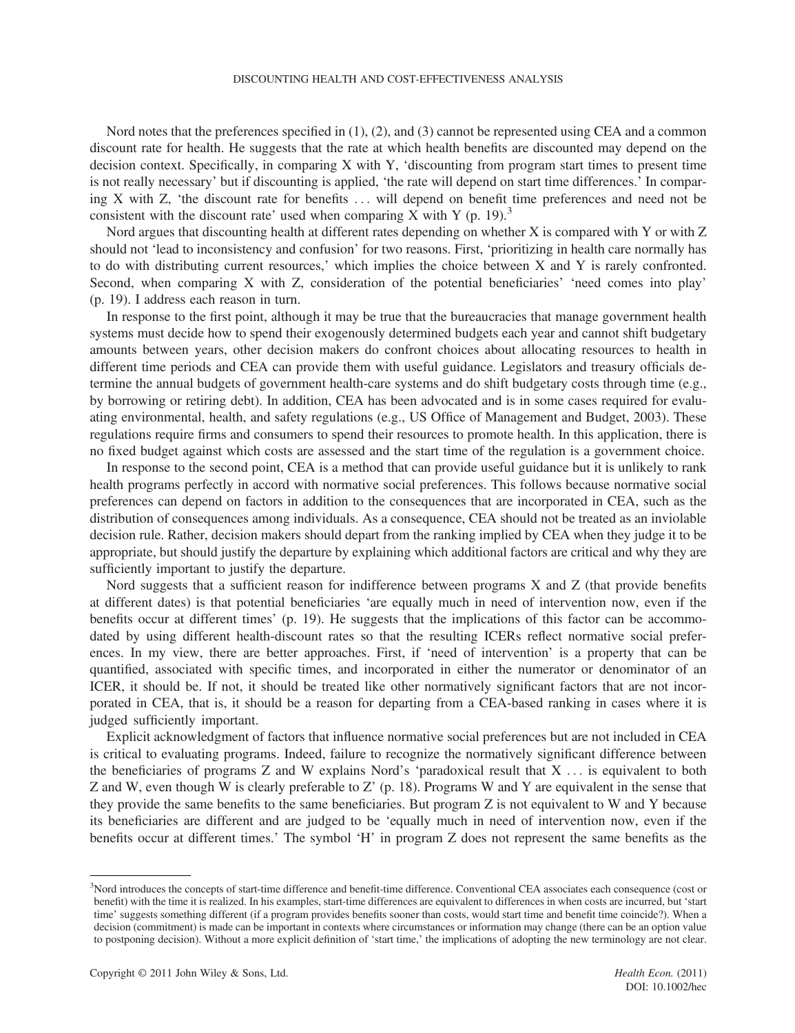#### DISCOUNTING HEALTH AND COST-EFFECTIVENESS ANALYSIS

Nord notes that the preferences specified in (1), (2), and (3) cannot be represented using CEA and a common discount rate for health. He suggests that the rate at which health benefits are discounted may depend on the decision context. Specifically, in comparing X with Y, 'discounting from program start times to present time is not really necessary' but if discounting is applied, 'the rate will depend on start time differences.' In comparing X with Z, 'the discount rate for benefits ... will depend on benefit time preferences and need not be consistent with the discount rate' used when comparing X with Y (p. 19).<sup>3</sup>

Nord argues that discounting health at different rates depending on whether X is compared with Y or with Z should not 'lead to inconsistency and confusion' for two reasons. First, 'prioritizing in health care normally has to do with distributing current resources,' which implies the choice between X and Y is rarely confronted. Second, when comparing X with Z, consideration of the potential beneficiaries' 'need comes into play' (p. 19). I address each reason in turn.

In response to the first point, although it may be true that the bureaucracies that manage government health systems must decide how to spend their exogenously determined budgets each year and cannot shift budgetary amounts between years, other decision makers do confront choices about allocating resources to health in different time periods and CEA can provide them with useful guidance. Legislators and treasury officials determine the annual budgets of government health-care systems and do shift budgetary costs through time (e.g., by borrowing or retiring debt). In addition, CEA has been advocated and is in some cases required for evaluating environmental, health, and safety regulations (e.g., US Office of Management and Budget, 2003). These regulations require firms and consumers to spend their resources to promote health. In this application, there is no fixed budget against which costs are assessed and the start time of the regulation is a government choice.

In response to the second point, CEA is a method that can provide useful guidance but it is unlikely to rank health programs perfectly in accord with normative social preferences. This follows because normative social preferences can depend on factors in addition to the consequences that are incorporated in CEA, such as the distribution of consequences among individuals. As a consequence, CEA should not be treated as an inviolable decision rule. Rather, decision makers should depart from the ranking implied by CEA when they judge it to be appropriate, but should justify the departure by explaining which additional factors are critical and why they are sufficiently important to justify the departure.

Nord suggests that a sufficient reason for indifference between programs X and Z (that provide benefits at different dates) is that potential beneficiaries 'are equally much in need of intervention now, even if the benefits occur at different times' (p. 19). He suggests that the implications of this factor can be accommodated by using different health-discount rates so that the resulting ICERs reflect normative social preferences. In my view, there are better approaches. First, if 'need of intervention' is a property that can be quantified, associated with specific times, and incorporated in either the numerator or denominator of an ICER, it should be. If not, it should be treated like other normatively significant factors that are not incorporated in CEA, that is, it should be a reason for departing from a CEA-based ranking in cases where it is judged sufficiently important.

Explicit acknowledgment of factors that influence normative social preferences but are not included in CEA is critical to evaluating programs. Indeed, failure to recognize the normatively significant difference between the beneficiaries of programs  $Z$  and W explains Nord's 'paradoxical result that  $X \dots$  is equivalent to both Z and W, even though W is clearly preferable to Z' (p. 18). Programs W and Y are equivalent in the sense that they provide the same benefits to the same beneficiaries. But program Z is not equivalent to W and Y because its beneficiaries are different and are judged to be 'equally much in need of intervention now, even if the benefits occur at different times.' The symbol 'H' in program Z does not represent the same benefits as the

<sup>&</sup>lt;sup>3</sup>Nord introduces the concepts of start-time difference and benefit-time difference. Conventional CEA associates each consequence (cost or benefit) with the time it is realized. In his examples, start-time differences are equivalent to differences in when costs are incurred, but 'start time' suggests something different (if a program provides benefits sooner than costs, would start time and benefit time coincide?). When a decision (commitment) is made can be important in contexts where circumstances or information may change (there can be an option value to postponing decision). Without a more explicit definition of 'start time,' the implications of adopting the new terminology are not clear.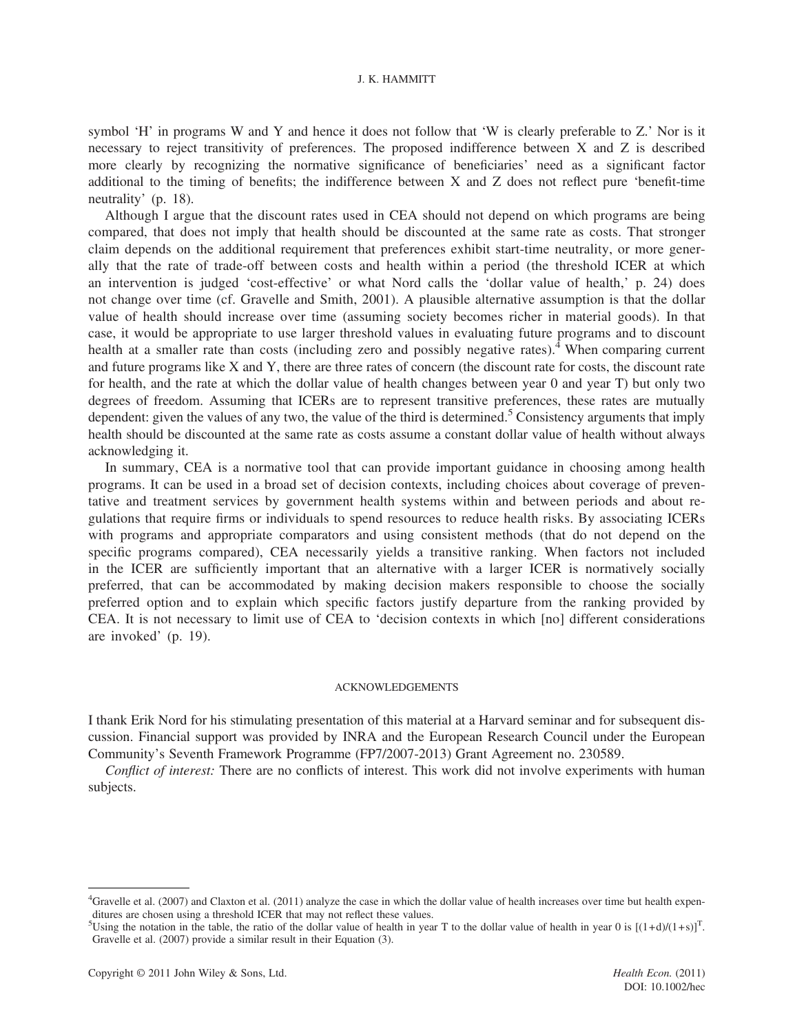#### J. K. HAMMITT

symbol 'H' in programs W and Y and hence it does not follow that 'W is clearly preferable to Z.' Nor is it necessary to reject transitivity of preferences. The proposed indifference between X and Z is described more clearly by recognizing the normative significance of beneficiaries' need as a significant factor additional to the timing of benefits; the indifference between X and Z does not reflect pure 'benefit-time neutrality' (p. 18).

Although I argue that the discount rates used in CEA should not depend on which programs are being compared, that does not imply that health should be discounted at the same rate as costs. That stronger claim depends on the additional requirement that preferences exhibit start-time neutrality, or more generally that the rate of trade-off between costs and health within a period (the threshold ICER at which an intervention is judged 'cost-effective' or what Nord calls the 'dollar value of health,' p. 24) does not change over time (cf. Gravelle and Smith, 2001). A plausible alternative assumption is that the dollar value of health should increase over time (assuming society becomes richer in material goods). In that case, it would be appropriate to use larger threshold values in evaluating future programs and to discount health at a smaller rate than costs (including zero and possibly negative rates).<sup>4</sup> When comparing current and future programs like X and Y, there are three rates of concern (the discount rate for costs, the discount rate for health, and the rate at which the dollar value of health changes between year 0 and year T) but only two degrees of freedom. Assuming that ICERs are to represent transitive preferences, these rates are mutually dependent: given the values of any two, the value of the third is determined.<sup>5</sup> Consistency arguments that imply health should be discounted at the same rate as costs assume a constant dollar value of health without always acknowledging it.

In summary, CEA is a normative tool that can provide important guidance in choosing among health programs. It can be used in a broad set of decision contexts, including choices about coverage of preventative and treatment services by government health systems within and between periods and about regulations that require firms or individuals to spend resources to reduce health risks. By associating ICERs with programs and appropriate comparators and using consistent methods (that do not depend on the specific programs compared), CEA necessarily yields a transitive ranking. When factors not included in the ICER are sufficiently important that an alternative with a larger ICER is normatively socially preferred, that can be accommodated by making decision makers responsible to choose the socially preferred option and to explain which specific factors justify departure from the ranking provided by CEA. It is not necessary to limit use of CEA to 'decision contexts in which [no] different considerations are invoked' (p. 19).

#### ACKNOWLEDGEMENTS

I thank Erik Nord for his stimulating presentation of this material at a Harvard seminar and for subsequent discussion. Financial support was provided by INRA and the European Research Council under the European Community's Seventh Framework Programme (FP7/2007-2013) Grant Agreement no. 230589.

Conflict of interest: There are no conflicts of interest. This work did not involve experiments with human subjects.

<sup>&</sup>lt;sup>4</sup>Gravelle et al. (2007) and Claxton et al. (2011) analyze the case in which the dollar value of health increases over time but health expenditures are chosen using a threshold ICER that may not reflect these values.

Using the notation in the table, the ratio of the dollar value of health in year T to the dollar value of health in year 0 is  $[(1+d)/(1+s)]^T$ . Gravelle et al. (2007) provide a similar result in their Equation (3).